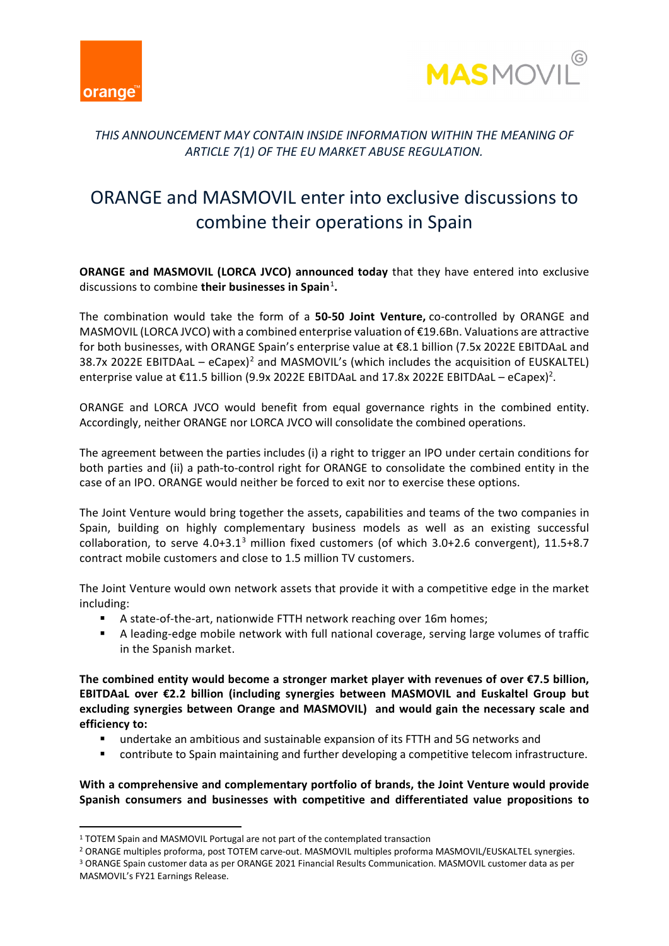



## *THIS ANNOUNCEMENT MAY CONTAIN INSIDE INFORMATION WITHIN THE MEANING OF ARTICLE 7(1) OF THE EU MARKET ABUSE REGULATION.*

# ORANGE and MASMOVIL enter into exclusive discussions to combine their operations in Spain

**ORANGE and MASMOVIL (LORCA JVCO) announced today** that they have entered into exclusive discussions to combine **their businesses in Spain**[1](#page-0-0) **.**

The combination would take the form of a **50-50 Joint Venture,** co-controlled by ORANGE and MASMOVIL (LORCA JVCO) with a combined enterprise valuation of €19.6Bn. Valuations are attractive for both businesses, with ORANGE Spain's enterprise value at €8.1 billion (7.5x 2022E EBITDAaL and 38.7x [2](#page-0-1)022E EBITDAaL – eCapex)<sup>2</sup> and MASMOVIL's (which includes the acquisition of EUSKALTEL) enterprise value at €11.5 billion (9.9x 2022E EBITDAaL and 17.8x 2022E EBITDAaL – eCapex)<sup>2</sup>.

ORANGE and LORCA JVCO would benefit from equal governance rights in the combined entity. Accordingly, neither ORANGE nor LORCA JVCO will consolidate the combined operations.

The agreement between the parties includes (i) a right to trigger an IPO under certain conditions for both parties and (ii) a path-to-control right for ORANGE to consolidate the combined entity in the case of an IPO. ORANGE would neither be forced to exit nor to exercise these options.

The Joint Venture would bring together the assets, capabilities and teams of the two companies in Spain, building on highly complementary business models as well as an existing successful collaboration, to serve 4.0+[3](#page-0-2).1<sup>3</sup> million fixed customers (of which 3.0+2.6 convergent), 11.5+8.7 contract mobile customers and close to 1.5 million TV customers.

The Joint Venture would own network assets that provide it with a competitive edge in the market including:

- A state-of-the-art, nationwide FTTH network reaching over 16m homes;
- A leading-edge mobile network with full national coverage, serving large volumes of traffic in the Spanish market.

**The combined entity would become a stronger market player with revenues of over €7.5 billion, EBITDAaL over €2.2 billion (including synergies between MASMOVIL and Euskaltel Group but excluding synergies between Orange and MASMOVIL) and would gain the necessary scale and efficiency to:**

- undertake an ambitious and sustainable expansion of its FTTH and 5G networks and
- contribute to Spain maintaining and further developing a competitive telecom infrastructure.

**With a comprehensive and complementary portfolio of brands, the Joint Venture would provide Spanish consumers and businesses with competitive and differentiated value propositions to** 

MASMOVIL's FY21 Earnings Release.

<span id="page-0-0"></span><sup>&</sup>lt;sup>1</sup> TOTEM Spain and MASMOVIL Portugal are not part of the contemplated transaction

<span id="page-0-2"></span><span id="page-0-1"></span><sup>2</sup> ORANGE multiples proforma, post TOTEM carve-out. MASMOVIL multiples proforma MASMOVIL/EUSKALTEL synergies. <sup>3</sup> ORANGE Spain customer data as per ORANGE 2021 Financial Results Communication. MASMOVIL customer data as per